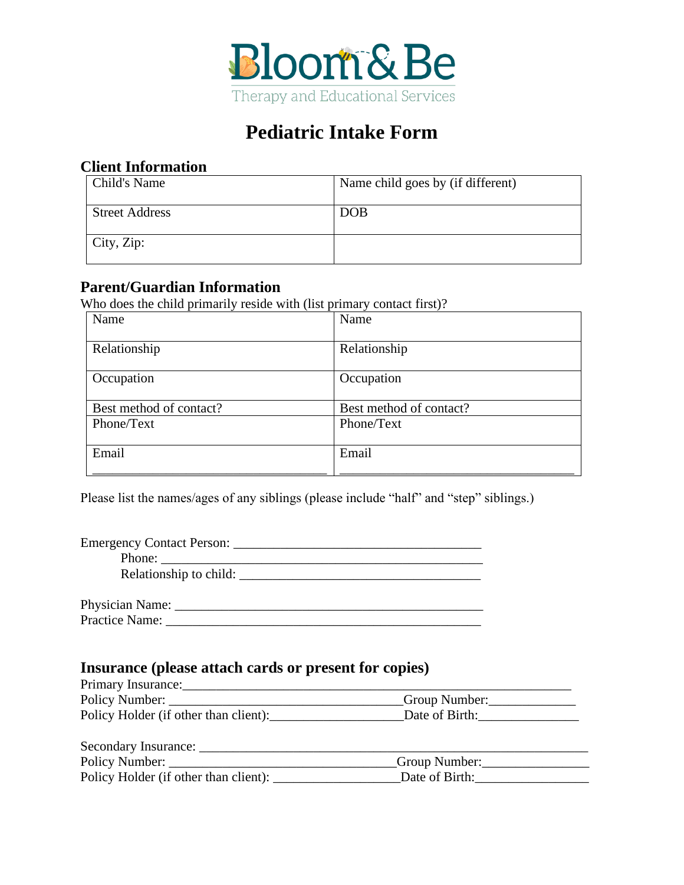

# **Pediatric Intake Form**

### **Client Information**

| Child's Name          | Name child goes by (if different) |
|-----------------------|-----------------------------------|
| <b>Street Address</b> | <b>DOB</b>                        |
| City, Zip:            |                                   |

### **Parent/Guardian Information**

Who does the child primarily reside with (list primary contact first)?

| Name                    | Name                    |
|-------------------------|-------------------------|
| Relationship            | Relationship            |
|                         |                         |
| Occupation              | Occupation              |
|                         |                         |
| Best method of contact? | Best method of contact? |
| Phone/Text              | Phone/Text              |
|                         |                         |
| Email                   | Email                   |
|                         |                         |

Please list the names/ages of any siblings (please include "half" and "step" siblings.)

| Emergency Contact Person:                                                                                                                                                                                                                                                                                                                                                                                                                         |  |
|---------------------------------------------------------------------------------------------------------------------------------------------------------------------------------------------------------------------------------------------------------------------------------------------------------------------------------------------------------------------------------------------------------------------------------------------------|--|
| Phone: $\frac{1}{\sqrt{1-\frac{1}{2}} \cdot \frac{1}{2} \cdot \frac{1}{2} \cdot \frac{1}{2} \cdot \frac{1}{2} \cdot \frac{1}{2} \cdot \frac{1}{2} \cdot \frac{1}{2} \cdot \frac{1}{2} \cdot \frac{1}{2} \cdot \frac{1}{2} \cdot \frac{1}{2} \cdot \frac{1}{2} \cdot \frac{1}{2} \cdot \frac{1}{2} \cdot \frac{1}{2} \cdot \frac{1}{2} \cdot \frac{1}{2} \cdot \frac{1}{2} \cdot \frac{1}{2} \cdot \frac{1}{2} \cdot \frac{1}{2} \cdot \frac{1}{2$ |  |
| Relationship to child:                                                                                                                                                                                                                                                                                                                                                                                                                            |  |
|                                                                                                                                                                                                                                                                                                                                                                                                                                                   |  |
| Physician Name: ______                                                                                                                                                                                                                                                                                                                                                                                                                            |  |
| Practice Name:                                                                                                                                                                                                                                                                                                                                                                                                                                    |  |

### **Insurance (please attach cards or present for copies)**

| Primary Insurance:                    |                 |
|---------------------------------------|-----------------|
| Policy Number:                        | _Group Number:_ |
| Policy Holder (if other than client): | Date of Birth:  |

| Secondary Insurance:                  |                |
|---------------------------------------|----------------|
| Policy Number:                        | Group Number:  |
| Policy Holder (if other than client): | Date of Birth: |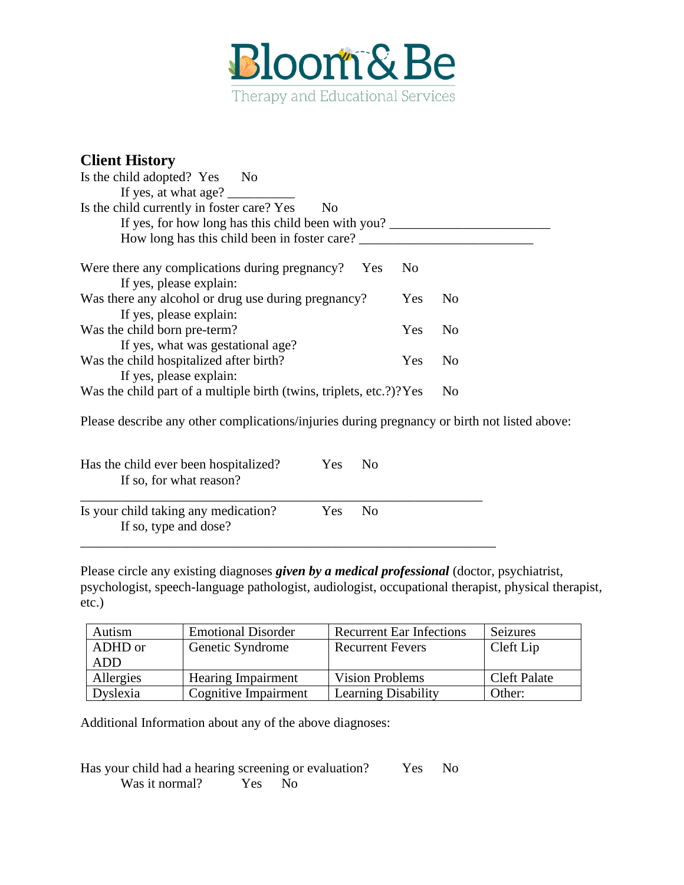

### **Client History**

| Is the child adopted? Yes No                                            |                |
|-------------------------------------------------------------------------|----------------|
| If yes, at what age?                                                    |                |
| Is the child currently in foster care? Yes<br>N <sub>0</sub>            |                |
| If yes, for how long has this child been with you?                      |                |
| How long has this child been in foster care?                            |                |
| Were there any complications during pregnancy?<br>N <sub>0</sub><br>Yes |                |
| If yes, please explain:                                                 |                |
| Was there any alcohol or drug use during pregnancy?<br>Yes              | N <sub>0</sub> |
| If yes, please explain:                                                 |                |
| Was the child born pre-term?<br><b>Yes</b>                              | N <sub>0</sub> |
| If yes, what was gestational age?                                       |                |
| Was the child hospitalized after birth?<br>Yes                          | N <sub>0</sub> |
| If yes, please explain:                                                 |                |
| Was the child part of a multiple birth (twins, triplets, etc.?)? Yes    | N <sub>0</sub> |

Please describe any other complications/injuries during pregnancy or birth not listed above:

| Has the child ever been hospitalized?<br>If so, for what reason? | Yes    | No. |  |
|------------------------------------------------------------------|--------|-----|--|
| Is your child taking any medication?<br>If so, type and dose?    | Yes No |     |  |

Please circle any existing diagnoses *given by a medical professional* (doctor, psychiatrist, psychologist, speech-language pathologist, audiologist, occupational therapist, physical therapist, etc.)

| Autism    | <b>Emotional Disorder</b> | <b>Recurrent Ear Infections</b> | Seizures            |
|-----------|---------------------------|---------------------------------|---------------------|
| ADHD or   | Genetic Syndrome          | <b>Recurrent Fevers</b>         | Cleft Lip           |
| ADD       |                           |                                 |                     |
| Allergies | <b>Hearing Impairment</b> | <b>Vision Problems</b>          | <b>Cleft Palate</b> |
| Dyslexia  | Cognitive Impairment      | <b>Learning Disability</b>      | Other:              |

Additional Information about any of the above diagnoses:

Has your child had a hearing screening or evaluation? Yes No Was it normal? Yes No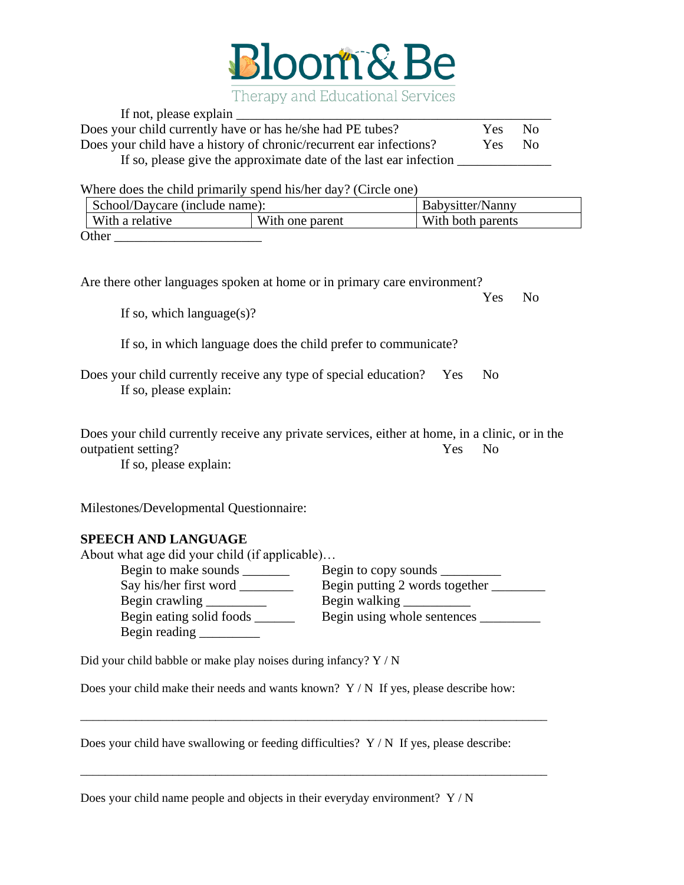

| If not, please explain                                              |      |      |  |
|---------------------------------------------------------------------|------|------|--|
| Does your child currently have or has he/she had PE tubes?          | Yes. | - No |  |
| Does your child have a history of chronic/recurrent ear infections? | Yes: | No.  |  |
| If so, please give the approximate date of the last ear infection   |      |      |  |

Where does the child primarily spend his/her day? (Circle one)

| School/Daycare (include name):     |  | Babysitter/Nanny  |
|------------------------------------|--|-------------------|
| With a relative<br>With one parent |  | With both parents |
| Other                              |  |                   |

Are there other languages spoken at home or in primary care environment? Yes No If so, which language $(s)$ ?

If so, in which language does the child prefer to communicate?

Does your child currently receive any type of special education? Yes No If so, please explain:

Does your child currently receive any private services, either at home, in a clinic, or in the outpatient setting? Yes No

If so, please explain:

Milestones/Developmental Questionnaire:

## **SPEECH AND LANGUAGE**

| About what age did your child (if applicable) |                                |
|-----------------------------------------------|--------------------------------|
| Begin to make sounds                          |                                |
| Say his/her first word                        | Begin putting 2 words together |
|                                               | Begin walking                  |
| Begin eating solid foods                      | Begin using whole sentences    |
| Begin reading                                 |                                |

Did your child babble or make play noises during infancy? Y / N

Does your child make their needs and wants known? Y / N If yes, please describe how:

\_\_\_\_\_\_\_\_\_\_\_\_\_\_\_\_\_\_\_\_\_\_\_\_\_\_\_\_\_\_\_\_\_\_\_\_\_\_\_\_\_\_\_\_\_\_\_\_\_\_\_\_\_\_\_\_\_\_\_\_\_\_\_\_\_\_\_\_\_\_\_\_\_\_\_\_

\_\_\_\_\_\_\_\_\_\_\_\_\_\_\_\_\_\_\_\_\_\_\_\_\_\_\_\_\_\_\_\_\_\_\_\_\_\_\_\_\_\_\_\_\_\_\_\_\_\_\_\_\_\_\_\_\_\_\_\_\_\_\_\_\_\_\_\_\_\_\_\_\_\_\_\_

Does your child have swallowing or feeding difficulties?  $Y/N$  If yes, please describe:

Does your child name people and objects in their everyday environment? Y / N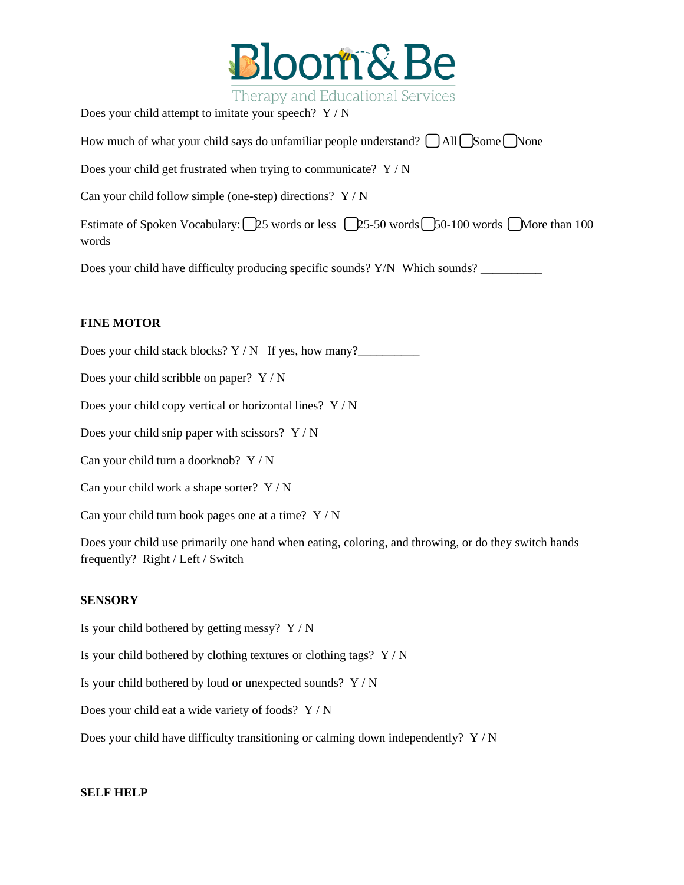

Therapy and Educational Services

Does your child attempt to imitate your speech? Y / N

How much of what your child says do unfamiliar people understand? □ All □ Some ■ None

Does your child get frustrated when trying to communicate?  $Y/N$ 

Can your child follow simple (one-step) directions? Y / N

Estimate of Spoken Vocabulary:  $\bigcap 25$  words or less  $\bigcap 25-50$  words  $\bigcap 50-100$  words  $\bigcap$  More than 100 words

Does your child have difficulty producing specific sounds? Y/N Which sounds? \_\_\_\_\_\_\_\_\_

#### **FINE MOTOR**

Does your child stack blocks?  $Y / N$  If yes, how many?

Does your child scribble on paper? Y / N

Does your child copy vertical or horizontal lines? Y / N

Does your child snip paper with scissors?  $Y/N$ 

Can your child turn a doorknob? Y / N

Can your child work a shape sorter? Y / N

Can your child turn book pages one at a time?  $Y/N$ 

Does your child use primarily one hand when eating, coloring, and throwing, or do they switch hands frequently? Right / Left / Switch

#### **SENSORY**

Is your child bothered by getting messy?  $Y/N$ 

Is your child bothered by clothing textures or clothing tags? Y / N

Is your child bothered by loud or unexpected sounds? Y / N

Does your child eat a wide variety of foods? Y / N

Does your child have difficulty transitioning or calming down independently? Y / N

#### **SELF HELP**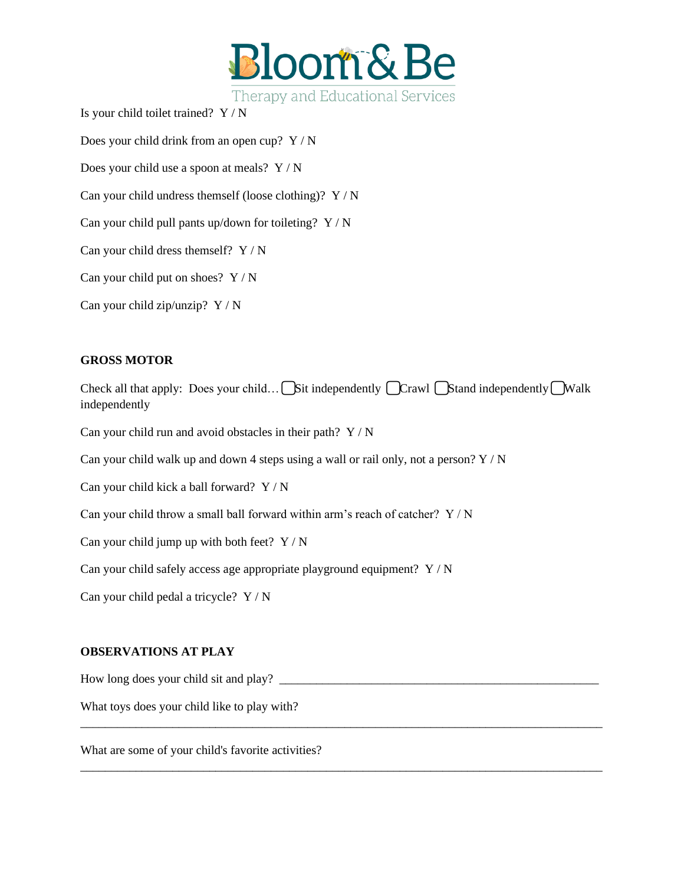

Is your child toilet trained? Y / N

Does your child drink from an open cup? Y / N

Does your child use a spoon at meals? Y / N

Can your child undress themself (loose clothing)?  $Y/N$ 

Can your child pull pants up/down for toileting?  $Y/N$ 

Can your child dress themself?  $Y / N$ 

Can your child put on shoes?  $Y/N$ 

Can your child zip/unzip? Y / N

#### **GROSS MOTOR**

Check all that apply: Does your child…  $\bigcap$  Sit independently  $\bigcap$  Crawl  $\bigcap$  Stand independently  $\bigcap$  Walk independently

\_\_\_\_\_\_\_\_\_\_\_\_\_\_\_\_\_\_\_\_\_\_\_\_\_\_\_\_\_\_\_\_\_\_\_\_\_\_\_\_\_\_\_\_\_\_\_\_\_\_\_\_\_\_\_\_\_\_\_\_\_\_\_\_\_\_\_\_\_\_\_\_\_\_\_\_\_\_\_\_\_\_\_\_\_

\_\_\_\_\_\_\_\_\_\_\_\_\_\_\_\_\_\_\_\_\_\_\_\_\_\_\_\_\_\_\_\_\_\_\_\_\_\_\_\_\_\_\_\_\_\_\_\_\_\_\_\_\_\_\_\_\_\_\_\_\_\_\_\_\_\_\_\_\_\_\_\_\_\_\_\_\_\_\_\_\_\_\_\_\_

Can your child run and avoid obstacles in their path?  $Y / N$ 

Can your child walk up and down 4 steps using a wall or rail only, not a person?  $Y/N$ 

Can your child kick a ball forward? Y / N

Can your child throw a small ball forward within arm's reach of catcher? Y / N

Can your child jump up with both feet?  $Y/N$ 

Can your child safely access age appropriate playground equipment? Y / N

Can your child pedal a tricycle? Y / N

#### **OBSERVATIONS AT PLAY**

How long does your child sit and play? \_\_\_\_\_\_\_\_\_\_\_\_\_\_\_\_\_\_\_\_\_\_\_\_\_\_\_\_\_\_\_\_\_\_\_\_\_\_\_\_\_\_\_\_\_\_\_\_\_\_\_\_

What toys does your child like to play with?

What are some of your child's favorite activities?